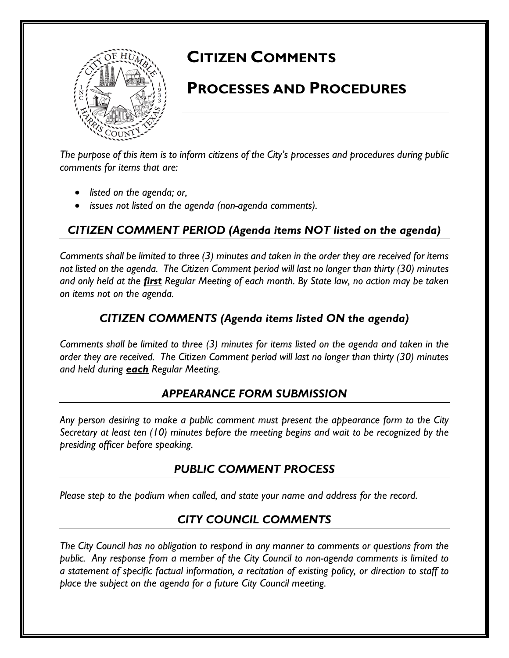

# **CITIZEN COMMENTS**

## **PROCESSES AND PROCEDURES**

*The purpose of this item is to inform citizens of the City's processes and procedures during public comments for items that are:* 

- *listed on the agenda; or,*
- *issues not listed on the agenda (non-agenda comments).*

## *CITIZEN COMMENT PERIOD (Agenda items NOT listed on the agenda)*

*Comments shall be limited to three (3) minutes and taken in the order they are received for items not listed on the agenda. The Citizen Comment period will last no longer than thirty (30) minutes and only held at the first Regular Meeting of each month. By State law, no action may be taken on items not on the agenda.* 

#### *CITIZEN COMMENTS (Agenda items listed ON the agenda)*

*Comments shall be limited to three (3) minutes for items listed on the agenda and taken in the order they are received. The Citizen Comment period will last no longer than thirty (30) minutes and held during each Regular Meeting.* 

#### *APPEARANCE FORM SUBMISSION*

*Any person desiring to make a public comment must present the appearance form to the City Secretary at least ten (10) minutes before the meeting begins and wait to be recognized by the presiding officer before speaking.* 

#### *PUBLIC COMMENT PROCESS*

*Please step to the podium when called, and state your name and address for the record.*

## *CITY COUNCIL COMMENTS*

*The City Council has no obligation to respond in any manner to comments or questions from the public. Any response from a member of the City Council to non-agenda comments is limited to a statement of specific factual information, a recitation of existing policy, or direction to staff to place the subject on the agenda for a future City Council meeting.*